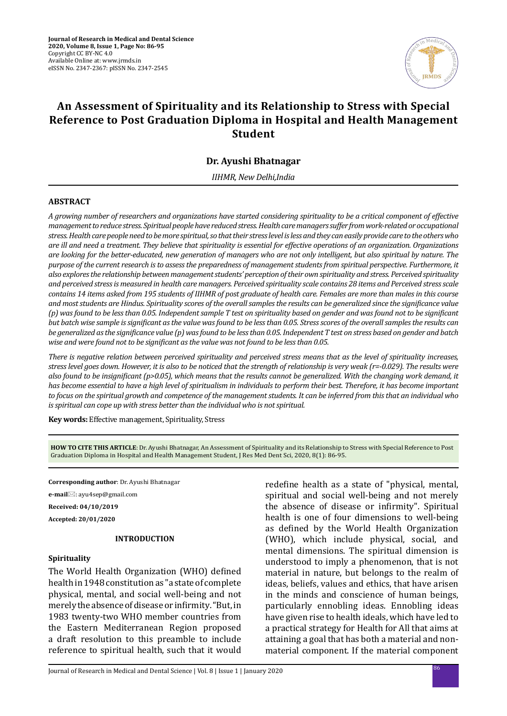

# **An Assessment of Spirituality and its Relationship to Stress with Special Reference to Post Graduation Diploma in Hospital and Health Management Student**

# **Dr. Ayushi Bhatnagar**

*IIHMR, New Delhi,India*

#### **ABSTRACT**

*A growing number of researchers and organizations have started considering spirituality to be a critical component of effective management to reduce stress. Spiritual people have reduced stress. Health care managers suffer from work-related or occupational stress. Health care people need to be more spiritual, so that their stress level is less and they can easily provide care to the others who are ill and need a treatment. They believe that spirituality is essential for effective operations of an organization. Organizations are looking for the better-educated, new generation of managers who are not only intelligent, but also spiritual by nature. The purpose of the current research is to assess the preparedness of management students from spiritual perspective. Furthermore, it also explores the relationship between management students' perception of their own spirituality and stress. Perceived spirituality and perceived stress is measured in health care managers. Perceived spirituality scale contains 28 items and Perceived stress scale contains 14 items asked from 195 students of IIHMR of post graduate of health care. Females are more than males in this course and most students are Hindus. Spirituality scores of the overall samples the results can be generalized since the significance value (p) was found to be less than 0.05. Independent sample T test on spirituality based on gender and was found not to be significant but batch wise sample is significant as the value was found to be less than 0.05. Stress scores of the overall samples the results can be generalized as the significance value (p) was found to be less than 0.05. Independent T test on stress based on gender and batch wise and were found not to be significant as the value was not found to be less than 0.05.*

*There is negative relation between perceived spirituality and perceived stress means that as the level of spirituality increases, stress level goes down. However, it is also to be noticed that the strength of relationship is very weak (r=-0.029). The results were also found to be insignificant (p>0.05), which means that the results cannot be generalized. With the changing work demand, it has become essential to have a high level of spiritualism in individuals to perform their best. Therefore, it has become important to focus on the spiritual growth and competence of the management students. It can be inferred from this that an individual who is spiritual can cope up with stress better than the individual who is not spiritual.*

**Key words:** Effective management, Spirituality, Stress

**HOW TO CITE THIS ARTICLE**: Dr. Ayushi Bhatnagar, An Assessment of Spirituality and its Relationship to Stress with Special Reference to Post Graduation Diploma in Hospital and Health Management Student, J Res Med Dent Sci, 2020, 8(1): 86-95.

**Corresponding author**: Dr. Ayushi Bhatnagar

**e-mail**⊠: ayu4sep@gmail.com

**Received: 04/10/2019**

**Accepted: 20/01/2020**

#### **INTRODUCTION**

#### **Spirituality**

The World Health Organization (WHO) defined health in 1948 constitution as "a state of complete physical, mental, and social well-being and not merely the absence of disease or infirmity. "But, in 1983 twenty-two WHO member countries from the Eastern Mediterranean Region proposed a draft resolution to this preamble to include reference to spiritual health, such that it would redefine health as a state of "physical, mental, spiritual and social well-being and not merely the absence of disease or infirmity". Spiritual health is one of four dimensions to well-being as defined by the World Health Organization (WHO), which include physical, social, and mental dimensions. The spiritual dimension is understood to imply a phenomenon, that is not material in nature, but belongs to the realm of ideas, beliefs, values and ethics, that have arisen in the minds and conscience of human beings, particularly ennobling ideas. Ennobling ideas have given rise to health ideals, which have led to a practical strategy for Health for All that aims at attaining a goal that has both a material and nonmaterial component. If the material component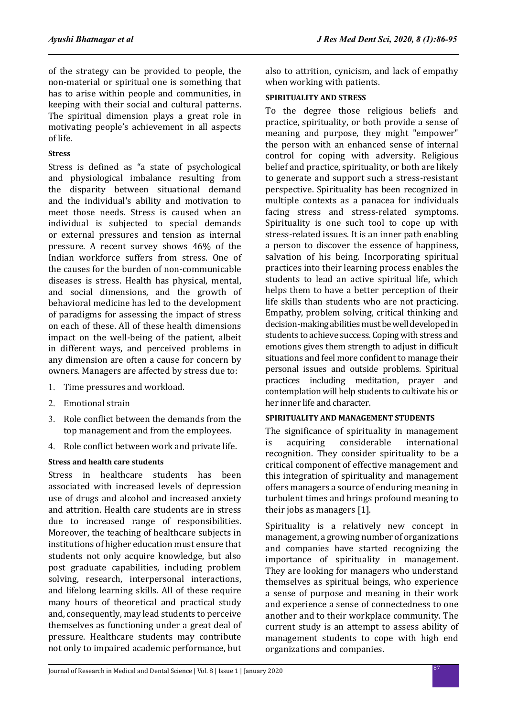of the strategy can be provided to people, the non-material or spiritual one is something that has to arise within people and communities, in keeping with their social and cultural patterns. The spiritual dimension plays a great role in motivating people's achievement in all aspects of life.

# **Stress**

Stress is defined as "a state of psychological and physiological imbalance resulting from the disparity between situational demand and the individual's ability and motivation to meet those needs. Stress is caused when an individual is subjected to special demands or external pressures and tension as internal pressure. A recent survey shows 46% of the Indian workforce suffers from stress. One of the causes for the burden of non-communicable diseases is stress. Health has physical, mental, and social dimensions, and the growth of behavioral medicine has led to the development of paradigms for assessing the impact of stress on each of these. All of these health dimensions impact on the well-being of the patient, albeit in different ways, and perceived problems in any dimension are often a cause for concern by owners. Managers are affected by stress due to:

- 1. Time pressures and workload.
- 2. Emotional strain
- 3. Role conflict between the demands from the top management and from the employees.
- 4. Role conflict between work and private life.

# **Stress and health care students**

Stress in healthcare students has been associated with increased levels of depression use of drugs and alcohol and increased anxiety and attrition. Health care students are in stress due to increased range of responsibilities. Moreover, the teaching of healthcare subjects in institutions of higher education must ensure that students not only acquire knowledge, but also post graduate capabilities, including problem solving, research, interpersonal interactions, and lifelong learning skills. All of these require many hours of theoretical and practical study and, consequently, may lead students to perceive themselves as functioning under a great deal of pressure. Healthcare students may contribute not only to impaired academic performance, but also to attrition, cynicism, and lack of empathy when working with patients.

### **SPIRITUALITY AND STRESS**

To the degree those religious beliefs and practice, spirituality, or both provide a sense of meaning and purpose, they might "empower" the person with an enhanced sense of internal control for coping with adversity. Religious belief and practice, spirituality, or both are likely to generate and support such a stress-resistant perspective. Spirituality has been recognized in multiple contexts as a panacea for individuals facing stress and stress-related symptoms. Spirituality is one such tool to cope up with stress-related issues. It is an inner path enabling a person to discover the essence of happiness, salvation of his being. Incorporating spiritual practices into their learning process enables the students to lead an active spiritual life, which helps them to have a better perception of their life skills than students who are not practicing. Empathy, problem solving, critical thinking and decision-making abilities must be well developed in students to achieve success. Coping with stress and emotions gives them strength to adjust in difficult situations and feel more confident to manage their personal issues and outside problems. Spiritual practices including meditation, prayer and contemplation will help students to cultivate his or her inner life and character.

### **SPIRITUALITY AND MANAGEMENT STUDENTS**

The significance of spirituality in management<br>is acquiring considerable international international recognition. They consider spirituality to be a critical component of effective management and this integration of spirituality and management offers managers a source of enduring meaning in turbulent times and brings profound meaning to their jobs as managers [1].

Spirituality is a relatively new concept in management, a growing number of organizations and companies have started recognizing the importance of spirituality in management. They are looking for managers who understand themselves as spiritual beings, who experience a sense of purpose and meaning in their work and experience a sense of connectedness to one another and to their workplace community. The current study is an attempt to assess ability of management students to cope with high end organizations and companies.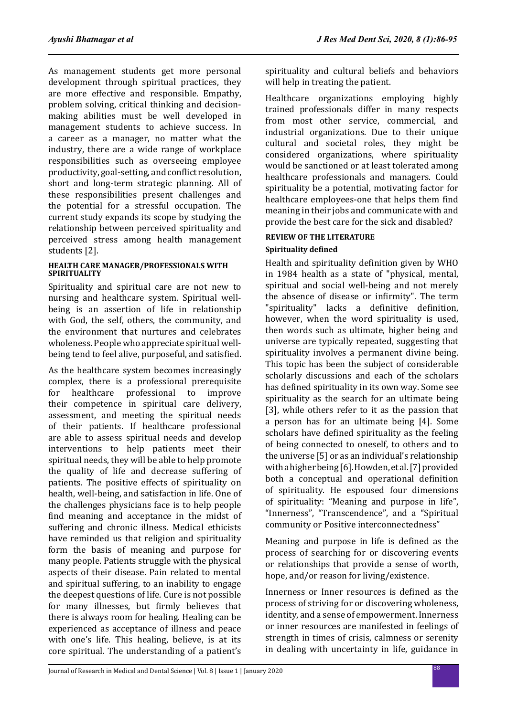As management students get more personal development through spiritual practices, they are more effective and responsible. Empathy, problem solving, critical thinking and decisionmaking abilities must be well developed in management students to achieve success. In a career as a manager, no matter what the industry, there are a wide range of workplace responsibilities such as overseeing employee productivity, goal-setting, and conflict resolution, short and long-term strategic planning. All of these responsibilities present challenges and the potential for a stressful occupation. The current study expands its scope by studying the relationship between perceived spirituality and perceived stress among health management students [2].

#### **HEALTH CARE MANAGER/PROFESSIONALS WITH SPIRITUALITY**

Spirituality and spiritual care are not new to nursing and healthcare system. Spiritual wellbeing is an assertion of life in relationship with God, the self, others, the community, and the environment that nurtures and celebrates wholeness. People who appreciate spiritual wellbeing tend to feel alive, purposeful, and satisfied.

As the healthcare system becomes increasingly complex, there is a professional prerequisite<br>for healthcare professional to improve for healthcare professional their competence in spiritual care delivery, assessment, and meeting the spiritual needs of their patients. If healthcare professional are able to assess spiritual needs and develop interventions to help patients meet their spiritual needs, they will be able to help promote the quality of life and decrease suffering of patients. The positive effects of spirituality on health, well-being, and satisfaction in life. One of the challenges physicians face is to help people find meaning and acceptance in the midst of suffering and chronic illness. Medical ethicists have reminded us that religion and spirituality form the basis of meaning and purpose for many people. Patients struggle with the physical aspects of their disease. Pain related to mental and spiritual suffering, to an inability to engage the deepest questions of life. Cure is not possible for many illnesses, but firmly believes that there is always room for healing. Healing can be experienced as acceptance of illness and peace with one's life. This healing, believe, is at its core spiritual. The understanding of a patient's spirituality and cultural beliefs and behaviors will help in treating the patient.

Healthcare organizations employing highly trained professionals differ in many respects from most other service, commercial, and industrial organizations. Due to their unique cultural and societal roles, they might be considered organizations, where spirituality would be sanctioned or at least tolerated among healthcare professionals and managers. Could spirituality be a potential, motivating factor for healthcare employees-one that helps them find meaning in their jobs and communicate with and provide the best care for the sick and disabled?

# **REVIEW OF THE LITERATURE**

# **Spirituality defined**

Health and spirituality definition given by WHO in 1984 health as a state of "physical, mental, spiritual and social well-being and not merely the absence of disease or infirmity". The term "spirituality" lacks a definitive definition, however, when the word spirituality is used, then words such as ultimate, higher being and universe are typically repeated, suggesting that spirituality involves a permanent divine being. This topic has been the subject of considerable scholarly discussions and each of the scholars has defined spirituality in its own way. Some see spirituality as the search for an ultimate being [3], while others refer to it as the passion that a person has for an ultimate being [4]. Some scholars have defined spirituality as the feeling of being connected to oneself, to others and to the universe [5] or as an individual's relationship with a higher being [6]. Howden, et al. [7] provided both a conceptual and operational definition of spirituality. He espoused four dimensions of spirituality: "Meaning and purpose in life", "Innerness", "Transcendence", and a "Spiritual community or Positive interconnectedness"

Meaning and purpose in life is defined as the process of searching for or discovering events or relationships that provide a sense of worth, hope, and/or reason for living/existence.

Innerness or Inner resources is defined as the process of striving for or discovering wholeness, identity, and a sense of empowerment. Innerness or inner resources are manifested in feelings of strength in times of crisis, calmness or serenity in dealing with uncertainty in life, guidance in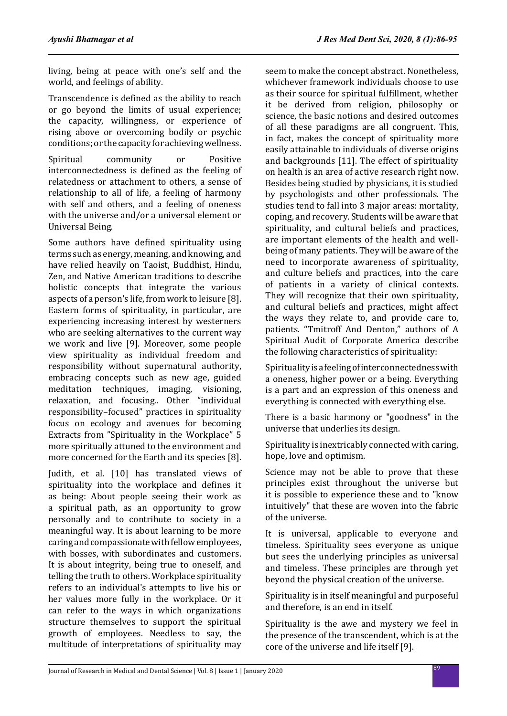living, being at peace with one's self and the world, and feelings of ability.

Transcendence is defined as the ability to reach or go beyond the limits of usual experience; the capacity, willingness, or experience of rising above or overcoming bodily or psychic conditions; or the capacity for achieving wellness.

Spiritual community or Positive interconnectedness is defined as the feeling of relatedness or attachment to others, a sense of relationship to all of life, a feeling of harmony with self and others, and a feeling of oneness with the universe and/or a universal element or Universal Being.

Some authors have defined spirituality using terms such as energy, meaning, and knowing, and have relied heavily on Taoist, Buddhist, Hindu, Zen, and Native American traditions to describe holistic concepts that integrate the various aspects of a person's life, from work to leisure [8]. Eastern forms of spirituality, in particular, are experiencing increasing interest by westerners who are seeking alternatives to the current way we work and live [9]. Moreover, some people view spirituality as individual freedom and responsibility without supernatural authority, embracing concepts such as new age, guided meditation techniques, imaging, visioning, relaxation, and focusing.. Other "individual responsibility–focused" practices in spirituality focus on ecology and avenues for becoming Extracts from "Spirituality in the Workplace" 5 more spiritually attuned to the environment and more concerned for the Earth and its species [8].

Judith, et al. [10] has translated views of spirituality into the workplace and defines it as being: About people seeing their work as a spiritual path, as an opportunity to grow personally and to contribute to society in a meaningful way. It is about learning to be more caring and compassionate with fellow employees, with bosses, with subordinates and customers. It is about integrity, being true to oneself, and telling the truth to others. Workplace spirituality refers to an individual's attempts to live his or her values more fully in the workplace. Or it can refer to the ways in which organizations structure themselves to support the spiritual growth of employees. Needless to say, the multitude of interpretations of spirituality may seem to make the concept abstract. Nonetheless, whichever framework individuals choose to use as their source for spiritual fulfillment, whether it be derived from religion, philosophy or science, the basic notions and desired outcomes of all these paradigms are all congruent. This, in fact, makes the concept of spirituality more easily attainable to individuals of diverse origins and backgrounds [11]. The effect of spirituality on health is an area of active research right now. Besides being studied by physicians, it is studied by psychologists and other professionals. The studies tend to fall into 3 major areas: mortality, coping, and recovery. Students will be aware that spirituality, and cultural beliefs and practices, are important elements of the health and wellbeing of many patients. They will be aware of the need to incorporate awareness of spirituality, and culture beliefs and practices, into the care of patients in a variety of clinical contexts. They will recognize that their own spirituality, and cultural beliefs and practices, might affect the ways they relate to, and provide care to, patients. "Tmitroff And Denton," authors of A Spiritual Audit of Corporate America describe the following characteristics of spirituality:

Spirituality is a feeling of interconnectedness with a oneness, higher power or a being. Everything is a part and an expression of this oneness and everything is connected with everything else.

There is a basic harmony or "goodness" in the universe that underlies its design.

Spirituality is inextricably connected with caring, hope, love and optimism.

Science may not be able to prove that these principles exist throughout the universe but it is possible to experience these and to "know intuitively" that these are woven into the fabric of the universe.

It is universal, applicable to everyone and timeless. Spirituality sees everyone as unique but sees the underlying principles as universal and timeless. These principles are through yet beyond the physical creation of the universe.

Spirituality is in itself meaningful and purposeful and therefore, is an end in itself.

Spirituality is the awe and mystery we feel in the presence of the transcendent, which is at the core of the universe and life itself [9].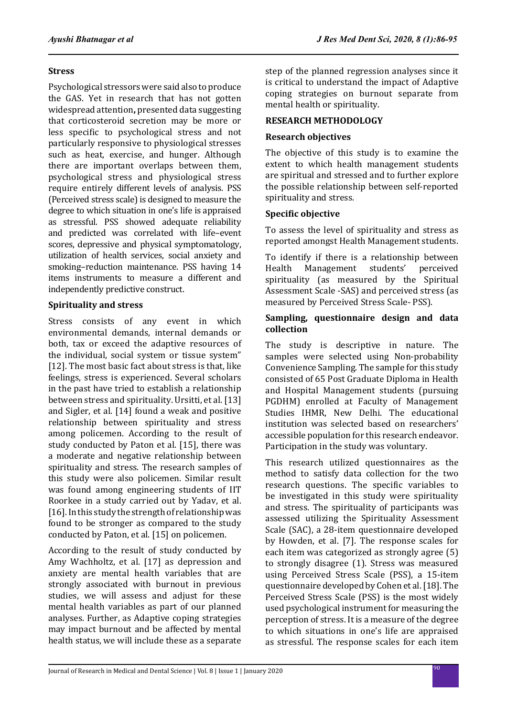## **Stress**

Psychological stressors were said also to produce the GAS. Yet in research that has not gotten widespread attention**,** presented data suggesting that corticosteroid secretion may be more or less specific to psychological stress and not particularly responsive to physiological stresses such as heat, exercise, and hunger. Although there are important overlaps between them, psychological stress and physiological stress require entirely different levels of analysis. PSS (Perceived stress scale) is designed to measure the degree to which situation in one's life is appraised as stressful. PSS showed adequate reliability and predicted was correlated with life–event scores, depressive and physical symptomatology, utilization of health services, social anxiety and smoking–reduction maintenance. PSS having 14 items instruments to measure a different and independently predictive construct.

# **Spirituality and stress**

Stress consists of any event in which environmental demands, internal demands or both, tax or exceed the adaptive resources of the individual, social system or tissue system" [12]. The most basic fact about stress is that, like feelings, stress is experienced. Several scholars in the past have tried to establish a relationship between stress and spirituality. Ursitti, et al. [13] and Sigler, et al. [14] found a weak and positive relationship between spirituality and stress among policemen. According to the result of study conducted by Paton et al. [15], there was a moderate and negative relationship between spirituality and stress. The research samples of this study were also policemen. Similar result was found among engineering students of IIT Roorkee in a study carried out by Yadav, et al. [16]. In this study the strength of relationship was found to be stronger as compared to the study conducted by Paton, et al. [15] on policemen.

According to the result of study conducted by Amy Wachholtz, et al. [17] as depression and anxiety are mental health variables that are strongly associated with burnout in previous studies, we will assess and adjust for these mental health variables as part of our planned analyses. Further, as Adaptive coping strategies may impact burnout and be affected by mental health status, we will include these as a separate step of the planned regression analyses since it is critical to understand the impact of Adaptive coping strategies on burnout separate from mental health or spirituality.

# **RESEARCH METHODOLOGY**

# **Research objectives**

The objective of this study is to examine the extent to which health management students are spiritual and stressed and to further explore the possible relationship between self-reported spirituality and stress.

# **Specific objective**

To assess the level of spirituality and stress as reported amongst Health Management students.

To identify if there is a relationship between<br>Health Management students' perceived Management spirituality (as measured by the Spiritual Assessment Scale -SAS) and perceived stress (as measured by Perceived Stress Scale- PSS).

# **Sampling, questionnaire design and data collection**

The study is descriptive in nature. The samples were selected using Non-probability Convenience Sampling. The sample for this study consisted of 65 Post Graduate Diploma in Health and Hospital Management students (pursuing PGDHM) enrolled at Faculty of Management Studies IHMR, New Delhi. The educational institution was selected based on researchers' accessible population for this research endeavor. Participation in the study was voluntary.

This research utilized questionnaires as the method to satisfy data collection for the two research questions. The specific variables to be investigated in this study were spirituality and stress. The spirituality of participants was assessed utilizing the Spirituality Assessment Scale (SAC), a 28-item questionnaire developed by Howden, et al. [7]. The response scales for each item was categorized as strongly agree (5) to strongly disagree (1). Stress was measured using Perceived Stress Scale (PSS), a 15-item questionnaire developed by Cohen et al. [18]. The Perceived Stress Scale (PSS) is the most widely used psychological instrument for measuring the perception of stress. It is a measure of the degree to which situations in one's life are appraised as stressful. The response scales for each item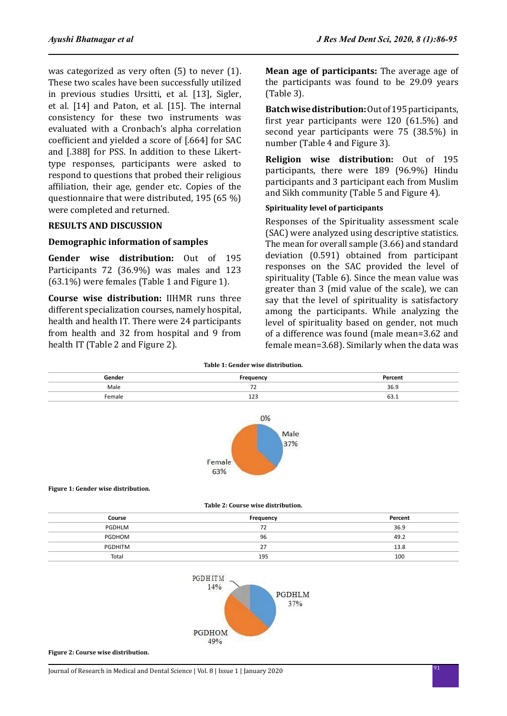was categorized as very often (5) to never (1). These two scales have been successfully utilized in previous studies Ursitti, et al. [13], Sigler, et al. [14] and Paton, et al. [15]. The internal consistency for these two instruments was evaluated with a Cronbach's alpha correlation coefficient and yielded a score of [.664] for SAC and [.388] for PSS. In addition to these Likerttype responses, participants were asked to respond to questions that probed their religious affiliation, their age, gender etc. Copies of the questionnaire that were distributed, 195 (65 %) were completed and returned.

# **RESULTS AND DISCUSSION**

### **Demographic information of samples**

**Gender wise distribution:** Out of 195 Participants 72 (36.9%) was males and 123 (63.1%) were females (Table 1 and Figure 1).

**Course wise distribution:** IIHMR runs three different specialization courses, namely hospital, health and health IT. There were 24 participants from health and 32 from hospital and 9 from health IT (Table 2 and Figure 2).

**Mean age of participants:** The average age of the participants was found to be 29.09 years (Table 3).

**Batch wise distribution:** Out of 195 participants, first year participants were 120 (61.5%) and second year participants were 75 (38.5%) in number (Table 4 and Figure 3).

**Religion wise distribution:** Out of 195 participants, there were 189 (96.9%) Hindu participants and 3 participant each from Muslim and Sikh community (Table 5 and Figure 4).

# **Spirituality level of participants**

Responses of the Spirituality assessment scale (SAC) were analyzed using descriptive statistics. The mean for overall sample (3.66) and standard deviation (0.591) obtained from participant responses on the SAC provided the level of spirituality (Table 6). Since the mean value was greater than 3 (mid value of the scale), we can say that the level of spirituality is satisfactory among the participants. While analyzing the level of spirituality based on gender, not much of a difference was found (male mean=3.62 and female mean=3.68). Similarly when the data was

|  |  |  | Table 1: Gender wise distribution. |
|--|--|--|------------------------------------|
|--|--|--|------------------------------------|

| Gender | Frequency                      | Percent                  |
|--------|--------------------------------|--------------------------|
| Male   | --<br>$\overline{\phantom{0}}$ | 36.9<br>- - -            |
| Female | ---<br>__                      | --<br><b>03.T</b><br>___ |





**Table 2: Course wise distribution.**

| Course  | Frequency      | Percent |
|---------|----------------|---------|
| PGDHLM  | 72             | 36.9    |
| PGDHOM  | 96             | 49.2    |
| PGDHITM | 27<br><u>.</u> | 13.8    |
| Total   | 195            | 100     |



**Figure 2: Course wise distribution.**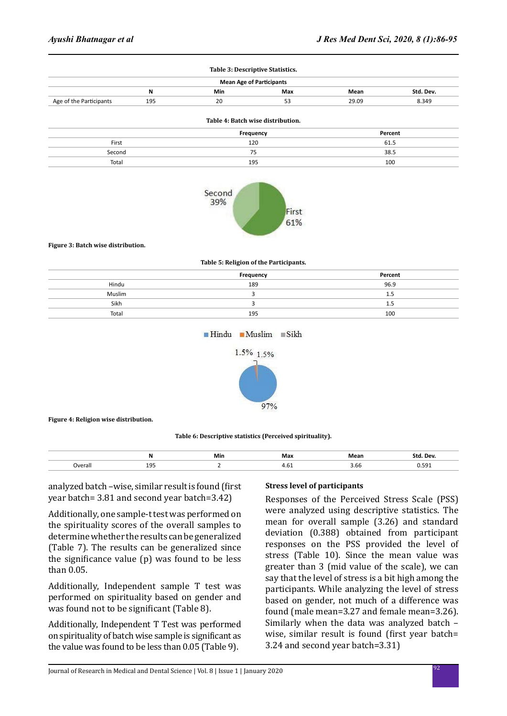| <b>Mean Age of Participants</b> |     |     |     |       |           |
|---------------------------------|-----|-----|-----|-------|-----------|
|                                 | N   | Min | Max | Mean  | Std. Dev. |
| Age of the Participants         | 195 | 20  | 53  | 29.09 | 8.349     |

|        | Frequency | Percent |
|--------|-----------|---------|
| First  | 120       | 61.5    |
| Second | 75        | 38.5    |
| Total  | 195       | 100     |



#### **Figure 3: Batch wise distribution.**

**Table 5: Religion of the Participants.**

|        | Frequency | Percent |
|--------|-----------|---------|
| Hindu  | 189       | 96.9    |
| Muslim |           | 1.5     |
| Sikh   |           | 1.5     |
| Total  | 195       | 100     |

 $\blacksquare$ Hindu  $\blacksquare$ Muslim  $\blacksquare$ Sikh



#### **Figure 4: Religion wise distribution.**

#### **Table 6: Descriptive statistics (Perceived spirituality).**

|                          | IV  | Min | Max  | ма     | ימרו<br>л |
|--------------------------|-----|-----|------|--------|-----------|
| Dverall<br>- - - - - - - | ᅩJJ |     | −…∪⊥ | $\sim$ | -----     |

analyzed batch –wise, similar result is found (first year batch= 3.81 and second year batch=3.42)

Additionally, one sample-t test was performed on the spirituality scores of the overall samples to determine whether the results can be generalized (Table 7). The results can be generalized since the significance value (p) was found to be less than 0.05.

Additionally, Independent sample T test was performed on spirituality based on gender and was found not to be significant (Table 8).

Additionally, Independent T Test was performed on spirituality of batch wise sample is significant as the value was found to be less than 0.05 (Table 9).

#### **Stress level of participants**

Responses of the Perceived Stress Scale (PSS) were analyzed using descriptive statistics. The mean for overall sample (3.26) and standard deviation (0.388) obtained from participant responses on the PSS provided the level of stress (Table 10). Since the mean value was greater than 3 (mid value of the scale), we can say that the level of stress is a bit high among the participants. While analyzing the level of stress based on gender, not much of a difference was found (male mean=3.27 and female mean=3.26). Similarly when the data was analyzed batch – wise, similar result is found (first year batch= 3.24 and second year batch=3.31)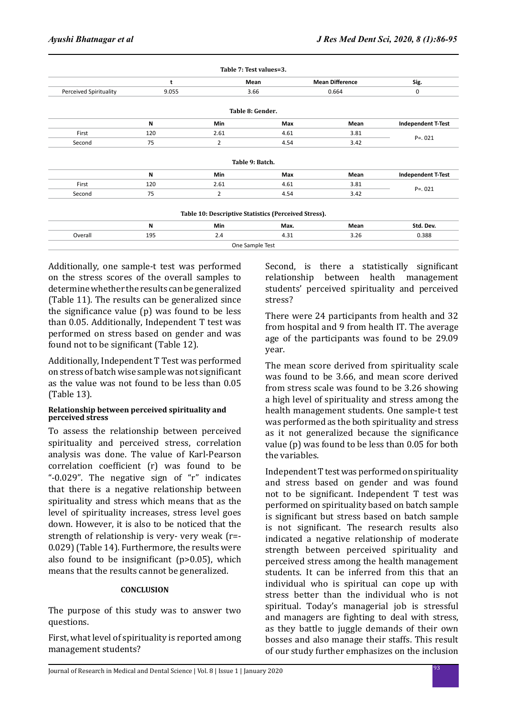|                        |       | Table 7: Test values=3.                              |      |                        |                           |  |
|------------------------|-------|------------------------------------------------------|------|------------------------|---------------------------|--|
|                        | t     | Mean                                                 |      | <b>Mean Difference</b> | Sig.                      |  |
| Perceived Spirituality | 9.055 | 3.66                                                 |      | 0.664                  | 0                         |  |
|                        |       | Table 8: Gender.                                     |      |                        |                           |  |
|                        | N     | Min                                                  | Max  | Mean                   | <b>Independent T-Test</b> |  |
| First                  | 120   | 2.61                                                 | 4.61 | 3.81                   | $P = 0.021$               |  |
| Second                 | 75    | 2                                                    | 4.54 | 3.42                   |                           |  |
|                        |       | Table 9: Batch.                                      |      |                        |                           |  |
|                        | N     | <b>Min</b>                                           | Max  | Mean                   | <b>Independent T-Test</b> |  |
| First                  | 120   | 2.61                                                 | 4.61 | 3.81                   |                           |  |
| Second                 | 75    | $\overline{2}$                                       | 4.54 | 3.42                   | $P = 0.021$               |  |
|                        |       | Table 10: Descriptive Statistics (Perceived Stress). |      |                        |                           |  |
|                        | N     | Min                                                  | Max. | Mean                   | Std. Dev.                 |  |
| Overall                | 195   | 2.4                                                  | 4.31 | 3.26                   | 0.388                     |  |
|                        |       | One Sample Test                                      |      |                        |                           |  |

Additionally, one sample-t test was performed on the stress scores of the overall samples to determine whether the results can be generalized (Table 11). The results can be generalized since the significance value (p) was found to be less than 0.05. Additionally, Independent T test was performed on stress based on gender and was found not to be significant (Table 12).

Additionally, Independent T Test was performed on stress of batch wise sample was not significant as the value was not found to be less than 0.05 (Table 13).

#### **Relationship between perceived spirituality and perceived stress**

To assess the relationship between perceived spirituality and perceived stress, correlation analysis was done. The value of Karl-Pearson correlation coefficient (r) was found to be "-0.029". The negative sign of "r" indicates that there is a negative relationship between spirituality and stress which means that as the level of spirituality increases, stress level goes down. However, it is also to be noticed that the strength of relationship is very- very weak (r=- 0.029) (Table 14). Furthermore, the results were also found to be insignificant (p>0.05), which means that the results cannot be generalized.

## **CONCLUSION**

The purpose of this study was to answer two questions.

First, what level of spirituality is reported among management students?

Second, is there a statistically significant relationship between health management students' perceived spirituality and perceived stress?

There were 24 participants from health and 32 from hospital and 9 from health IT. The average age of the participants was found to be 29.09 year.

The mean score derived from spirituality scale was found to be 3.66, and mean score derived from stress scale was found to be 3.26 showing a high level of spirituality and stress among the health management students. One sample-t test was performed as the both spirituality and stress as it not generalized because the significance value (p) was found to be less than 0.05 for both the variables.

Independent T test was performed on spirituality and stress based on gender and was found not to be significant. Independent T test was performed on spirituality based on batch sample is significant but stress based on batch sample is not significant. The research results also indicated a negative relationship of moderate strength between perceived spirituality and perceived stress among the health management students. It can be inferred from this that an individual who is spiritual can cope up with stress better than the individual who is not spiritual. Today's managerial job is stressful and managers are fighting to deal with stress, as they battle to juggle demands of their own bosses and also manage their staffs. This result of our study further emphasizes on the inclusion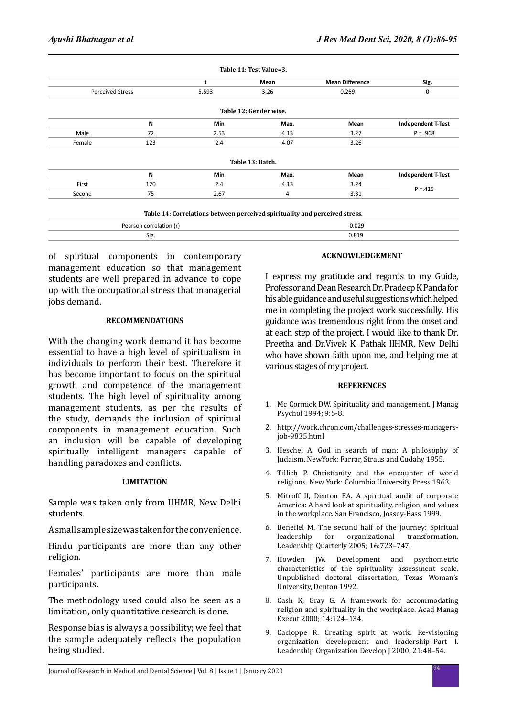|                         |                         | t          | Mean                                                                        | <b>Mean Difference</b> | Sig.                      |  |
|-------------------------|-------------------------|------------|-----------------------------------------------------------------------------|------------------------|---------------------------|--|
| <b>Perceived Stress</b> |                         | 5.593      | 3.26                                                                        | 0.269                  | 0                         |  |
|                         |                         |            | Table 12: Gender wise.                                                      |                        |                           |  |
|                         | N                       | <b>Min</b> | Max.                                                                        | Mean                   | <b>Independent T-Test</b> |  |
| Male                    | 72                      | 2.53       | 4.13                                                                        | 3.27                   | $P = .968$                |  |
| Female                  | 123                     | 2.4        | 4.07                                                                        | 3.26                   |                           |  |
|                         |                         |            | Table 13: Batch.                                                            |                        |                           |  |
|                         | N                       | <b>Min</b> | Max.                                                                        | Mean                   | <b>Independent T-Test</b> |  |
| First                   | 120                     | 2.4        | 4.13                                                                        | 3.24                   |                           |  |
| Second                  | 75                      | 2.67       | 4                                                                           | 3.31                   | $P = 415$                 |  |
|                         |                         |            | Table 14: Correlations between perceived spirituality and perceived stress. |                        |                           |  |
|                         | Pearson correlation (r) |            |                                                                             | $-0.029$               |                           |  |

Sig. 0.819

of spiritual components in contemporary management education so that management students are well prepared in advance to cope up with the occupational stress that managerial jobs demand.

#### **RECOMMENDATIONS**

With the changing work demand it has become essential to have a high level of spiritualism in individuals to perform their best. Therefore it has become important to focus on the spiritual growth and competence of the management students. The high level of spirituality among management students, as per the results of the study, demands the inclusion of spiritual components in management education. Such an inclusion will be capable of developing spiritually intelligent managers capable of handling paradoxes and conflicts.

#### **LIMITATION**

Sample was taken only from IIHMR, New Delhi students.

A small sample size was taken for the convenience.

Hindu participants are more than any other religion.

Females' participants are more than male participants.

The methodology used could also be seen as a limitation, only quantitative research is done.

Response bias is always a possibility; we feel that the sample adequately reflects the population being studied.

#### **ACKNOWLEDGEMENT**

I express my gratitude and regards to my Guide, Professor and Dean Research Dr. Pradeep K Panda for his able guidance and useful suggestions which helped me in completing the project work successfully. His guidance was tremendous right from the onset and at each step of the project. I would like to thank Dr. Preetha and Dr.Vivek K. Pathak IIHMR, New Delhi who have shown faith upon me, and helping me at various stages of my project.

#### **REFERENCES**

- 1. Mc Cormick DW. Spirituality and management. J Manag Psychol 1994; 9:5-8.
- 2. http://work.chron.com/challenges-stresses-managersjob-9835.html
- 3. Heschel A. God in search of man: A philosophy of Judaism. NewYork: Farrar, Straus and Cudahy 1955.
- 4. Tillich P. Christianity and the encounter of world religions. New York: Columbia University Press 1963.
- 5. Mitroff II, Denton EA. A spiritual audit of corporate America: A hard look at spirituality, religion, and values in the workplace. San Francisco, Jossey-Bass 1999.
- 6. Benefiel M. The second half of the journey: Spiritual organizational Leadership Quarterly 2005; 16:723–747.
- 7. Howden JW. Development and psychometric characteristics of the spirituality assessment scale. Unpublished doctoral dissertation, Texas Woman's University, Denton 1992.
- 8. Cash K, Gray G. A framework for accommodating religion and spirituality in the workplace. Acad Manag Execut 2000; 14:124–134.
- 9. Cacioppe R. Creating spirit at work: Re-visioning organization development and leadership–Part I. Leadership Organization Develop J 2000; 21:48–54.